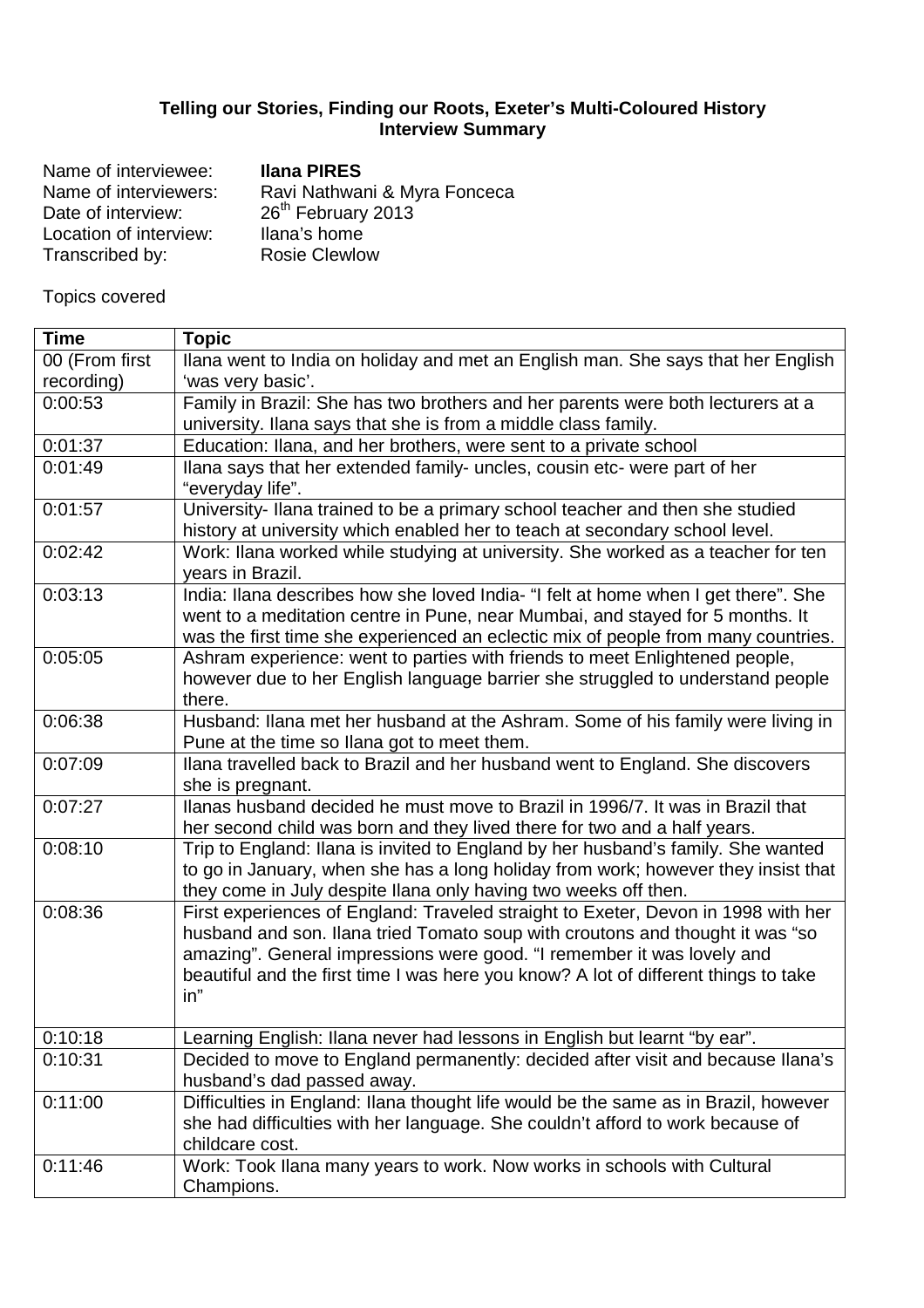## **Telling our Stories, Finding our Roots, Exeter's Multi-Coloured History Interview Summary**

| Name of interviewee:   | <b>Ilana PIRES</b>             |
|------------------------|--------------------------------|
| Name of interviewers:  | Ravi Nathwani & Myra Fonceca   |
| Date of interview:     | 26 <sup>th</sup> February 2013 |
| Location of interview: | Ilana's home                   |
| Transcribed by:        | <b>Rosie Clewlow</b>           |
|                        |                                |

Topics covered

| <b>Time</b>    | <b>Topic</b>                                                                                                                                                  |
|----------------|---------------------------------------------------------------------------------------------------------------------------------------------------------------|
| 00 (From first | Ilana went to India on holiday and met an English man. She says that her English                                                                              |
| recording)     | 'was very basic'.                                                                                                                                             |
| 0:00:53        | Family in Brazil: She has two brothers and her parents were both lecturers at a                                                                               |
|                | university. Ilana says that she is from a middle class family.                                                                                                |
| 0:01:37        | Education: Ilana, and her brothers, were sent to a private school                                                                                             |
| 0:01:49        | Ilana says that her extended family- uncles, cousin etc- were part of her                                                                                     |
|                | "everyday life".                                                                                                                                              |
| 0:01:57        | University-Ilana trained to be a primary school teacher and then she studied                                                                                  |
|                | history at university which enabled her to teach at secondary school level.                                                                                   |
| 0:02:42        | Work: Ilana worked while studying at university. She worked as a teacher for ten                                                                              |
|                | years in Brazil.                                                                                                                                              |
| 0:03:13        | India: Ilana describes how she loved India- "I felt at home when I get there". She                                                                            |
|                | went to a meditation centre in Pune, near Mumbai, and stayed for 5 months. It                                                                                 |
|                | was the first time she experienced an eclectic mix of people from many countries.                                                                             |
| 0:05:05        | Ashram experience: went to parties with friends to meet Enlightened people,                                                                                   |
|                | however due to her English language barrier she struggled to understand people                                                                                |
|                | there.                                                                                                                                                        |
| 0:06:38        | Husband: Ilana met her husband at the Ashram. Some of his family were living in                                                                               |
|                | Pune at the time so Ilana got to meet them.                                                                                                                   |
| 0:07:09        | Ilana travelled back to Brazil and her husband went to England. She discovers                                                                                 |
|                | she is pregnant.                                                                                                                                              |
| 0:07:27        | Ilanas husband decided he must move to Brazil in 1996/7. It was in Brazil that                                                                                |
|                | her second child was born and they lived there for two and a half years.                                                                                      |
| 0:08:10        | Trip to England: Ilana is invited to England by her husband's family. She wanted                                                                              |
|                | to go in January, when she has a long holiday from work; however they insist that                                                                             |
|                | they come in July despite Ilana only having two weeks off then.                                                                                               |
| 0:08:36        | First experiences of England: Traveled straight to Exeter, Devon in 1998 with her                                                                             |
|                | husband and son. Ilana tried Tomato soup with croutons and thought it was "so                                                                                 |
|                | amazing". General impressions were good. "I remember it was lovely and<br>beautiful and the first time I was here you know? A lot of different things to take |
|                | in"                                                                                                                                                           |
|                |                                                                                                                                                               |
| 0:10:18        | Learning English: Ilana never had lessons in English but learnt "by ear".                                                                                     |
| 0:10:31        | Decided to move to England permanently: decided after visit and because Ilana's                                                                               |
|                | husband's dad passed away.                                                                                                                                    |
| 0:11:00        | Difficulties in England: Ilana thought life would be the same as in Brazil, however                                                                           |
|                | she had difficulties with her language. She couldn't afford to work because of                                                                                |
|                | childcare cost.                                                                                                                                               |
| 0:11:46        | Work: Took Ilana many years to work. Now works in schools with Cultural                                                                                       |
|                | Champions.                                                                                                                                                    |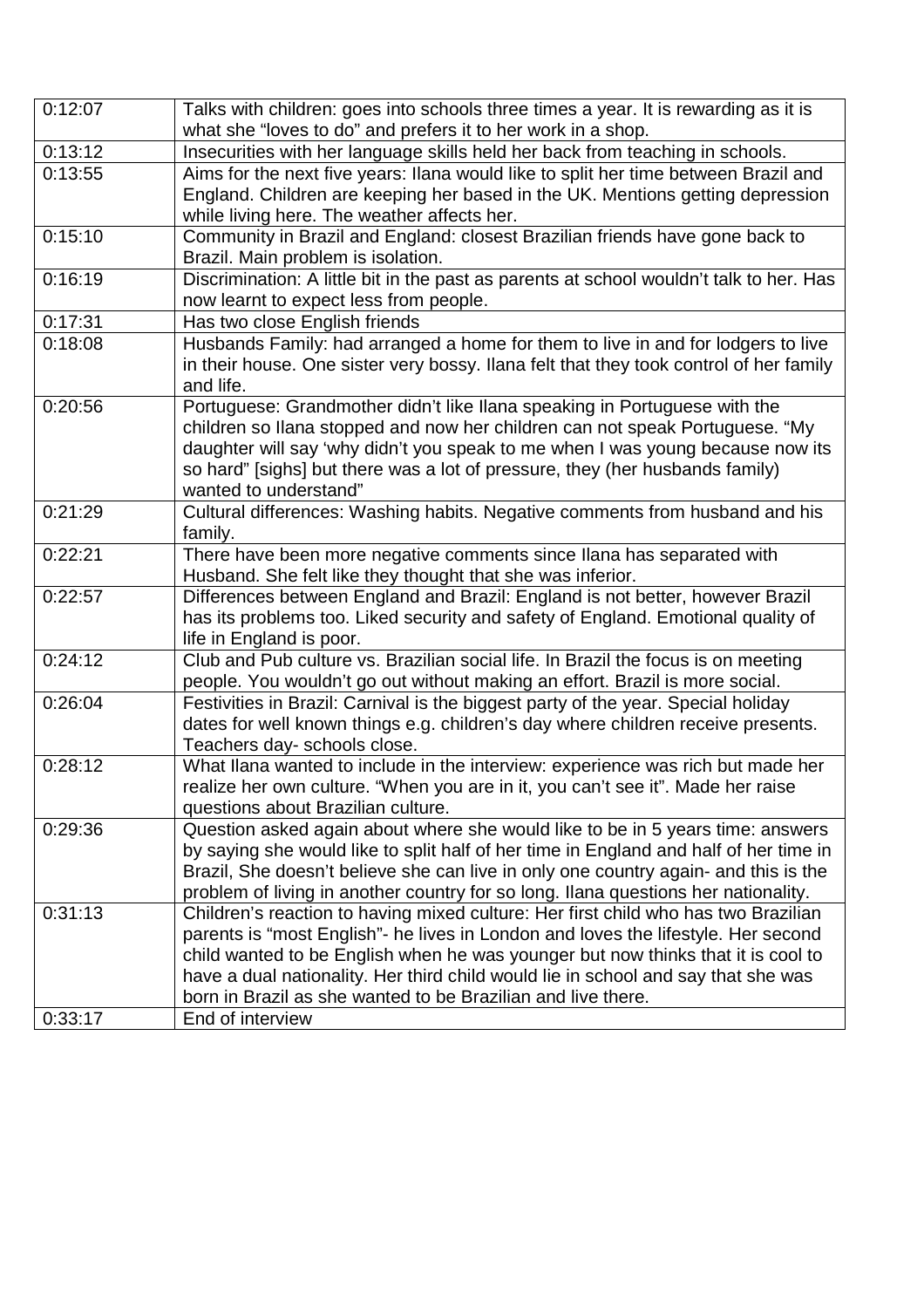| 0:12:07 | Talks with children: goes into schools three times a year. It is rewarding as it is<br>what she "loves to do" and prefers it to her work in a shop.                                                                  |
|---------|----------------------------------------------------------------------------------------------------------------------------------------------------------------------------------------------------------------------|
| 0:13:12 | Insecurities with her language skills held her back from teaching in schools.                                                                                                                                        |
| 0:13:55 | Aims for the next five years: Ilana would like to split her time between Brazil and<br>England. Children are keeping her based in the UK. Mentions getting depression<br>while living here. The weather affects her. |
| 0:15:10 | Community in Brazil and England: closest Brazilian friends have gone back to                                                                                                                                         |
|         | Brazil. Main problem is isolation.                                                                                                                                                                                   |
| 0:16:19 | Discrimination: A little bit in the past as parents at school wouldn't talk to her. Has                                                                                                                              |
|         | now learnt to expect less from people.                                                                                                                                                                               |
| 0:17:31 | Has two close English friends                                                                                                                                                                                        |
| 0:18:08 | Husbands Family: had arranged a home for them to live in and for lodgers to live<br>in their house. One sister very bossy. Ilana felt that they took control of her family                                           |
|         | and life.                                                                                                                                                                                                            |
| 0:20:56 | Portuguese: Grandmother didn't like Ilana speaking in Portuguese with the                                                                                                                                            |
|         | children so Ilana stopped and now her children can not speak Portuguese. "My                                                                                                                                         |
|         | daughter will say 'why didn't you speak to me when I was young because now its                                                                                                                                       |
|         | so hard" [sighs] but there was a lot of pressure, they (her husbands family)                                                                                                                                         |
|         | wanted to understand"                                                                                                                                                                                                |
| 0:21:29 | Cultural differences: Washing habits. Negative comments from husband and his                                                                                                                                         |
|         | family.                                                                                                                                                                                                              |
| 0:22:21 | There have been more negative comments since Ilana has separated with                                                                                                                                                |
|         | Husband. She felt like they thought that she was inferior.                                                                                                                                                           |
| 0:22:57 | Differences between England and Brazil: England is not better, however Brazil                                                                                                                                        |
|         | has its problems too. Liked security and safety of England. Emotional quality of                                                                                                                                     |
|         | life in England is poor.                                                                                                                                                                                             |
| 0:24:12 | Club and Pub culture vs. Brazilian social life. In Brazil the focus is on meeting                                                                                                                                    |
|         | people. You wouldn't go out without making an effort. Brazil is more social.                                                                                                                                         |
| 0:26:04 | Festivities in Brazil: Carnival is the biggest party of the year. Special holiday                                                                                                                                    |
|         | dates for well known things e.g. children's day where children receive presents.                                                                                                                                     |
|         | Teachers day- schools close.                                                                                                                                                                                         |
| 0:28:12 | What Ilana wanted to include in the interview: experience was rich but made her                                                                                                                                      |
|         | realize her own culture. "When you are in it, you can't see it". Made her raise                                                                                                                                      |
| 0:29:36 | questions about Brazilian culture.<br>Question asked again about where she would like to be in 5 years time: answers                                                                                                 |
|         | by saying she would like to split half of her time in England and half of her time in                                                                                                                                |
|         | Brazil, She doesn't believe she can live in only one country again- and this is the                                                                                                                                  |
|         | problem of living in another country for so long. Ilana questions her nationality.                                                                                                                                   |
| 0:31:13 | Children's reaction to having mixed culture: Her first child who has two Brazilian                                                                                                                                   |
|         | parents is "most English"- he lives in London and loves the lifestyle. Her second                                                                                                                                    |
|         | child wanted to be English when he was younger but now thinks that it is cool to                                                                                                                                     |
|         | have a dual nationality. Her third child would lie in school and say that she was                                                                                                                                    |
|         | born in Brazil as she wanted to be Brazilian and live there.                                                                                                                                                         |
| 0:33:17 | End of interview                                                                                                                                                                                                     |
|         |                                                                                                                                                                                                                      |